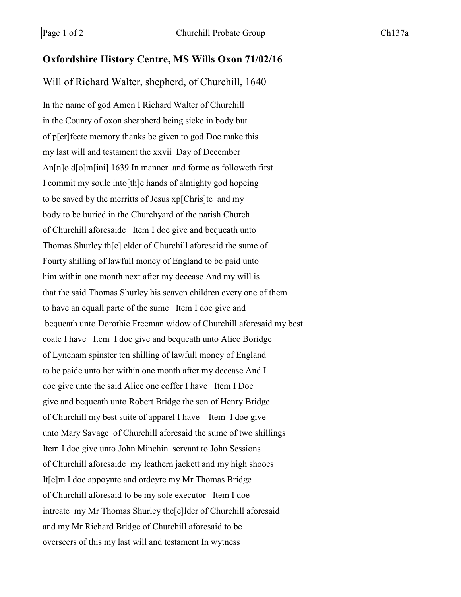## **Oxfordshire History Centre, MS Wills Oxon 71/02/16**

Will of Richard Walter, shepherd, of Churchill, 1640

In the name of god Amen I Richard Walter of Churchill in the County of oxon sheapherd being sicke in body but of p[er]fecte memory thanks be given to god Doe make this my last will and testament the xxvii Day of December An[n]o d[o]m[ini] 1639 In manner and forme as followeth first I commit my soule into[th]e hands of almighty god hopeing to be saved by the merritts of Jesus xp[Chris]te and my body to be buried in the Churchyard of the parish Church of Churchill aforesaide Item I doe give and bequeath unto Thomas Shurley th[e] elder of Churchill aforesaid the sume of Fourty shilling of lawfull money of England to be paid unto him within one month next after my decease And my will is that the said Thomas Shurley his seaven children every one of them to have an equall parte of the sume Item I doe give and bequeath unto Dorothie Freeman widow of Churchill aforesaid my best coate I have Item I doe give and bequeath unto Alice Boridge of Lyneham spinster ten shilling of lawfull money of England to be paide unto her within one month after my decease And I doe give unto the said Alice one coffer I have Item I Doe give and bequeath unto Robert Bridge the son of Henry Bridge of Churchill my best suite of apparel I have Item I doe give unto Mary Savage of Churchill aforesaid the sume of two shillings Item I doe give unto John Minchin servant to John Sessions of Churchill aforesaide my leathern jackett and my high shooes It[e]m I doe appoynte and ordeyre my Mr Thomas Bridge of Churchill aforesaid to be my sole executor Item I doe intreate my Mr Thomas Shurley the[e]lder of Churchill aforesaid and my Mr Richard Bridge of Churchill aforesaid to be overseers of this my last will and testament In wytness